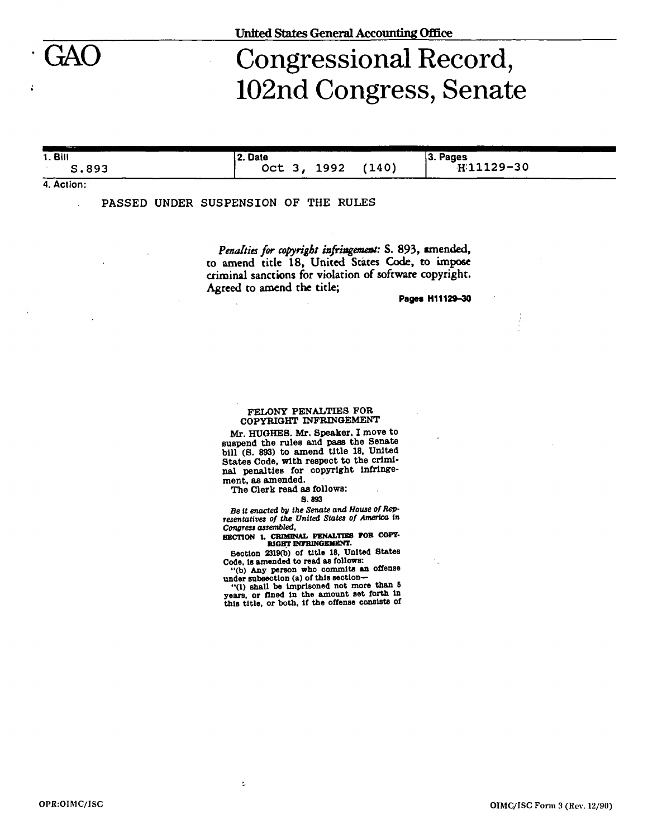## Congressional Record, 102nd Congress, Senate

**1. Bill S.89 3 2. Date Oc t 3 , 1992 (140) 3. Pages H11129-3 0** 

**4. Action:** 

**PASSED UNDER SUSPENSION OF THE RULES** 

*Penalties for copyright infringement:* **S. 893, amended, to amend title 18, United States Code, to impose criminal sanctions for violation of software copyright. Agreed to amend the title;** 

**Pages H11129-30** 

## FELONY PENALTIES FOR COPYRIGHT INFRINGEMENT

**Mr. HUGHES. Mr. Speaker. I move to suspend the rules and pass the Senate bill (S. 893) to amend title 18. United States Code, with respect to the criminal penalties for copyright Infringement, as amended.** 

**The Clerk read as follows:** 

Þ

## **S.893**

*Be it enacted by the Senate and House of Rep*resentatives of the United States of America in *Congress assembled,* 

**SECTION L CRIMINAL PENALTIES FOB COPY-BIOBT INFRINGEMENT.** 

**Section 2319(b) of title 18, United States Code, Is amended to read as follows:** 

**"(b) Any person who commits an offense under subsection (a) of this section—** 

**"(1) shall be imprisoned not more than 6 years, or fined In the amount set forth In this title, or both, If the offense consists of**